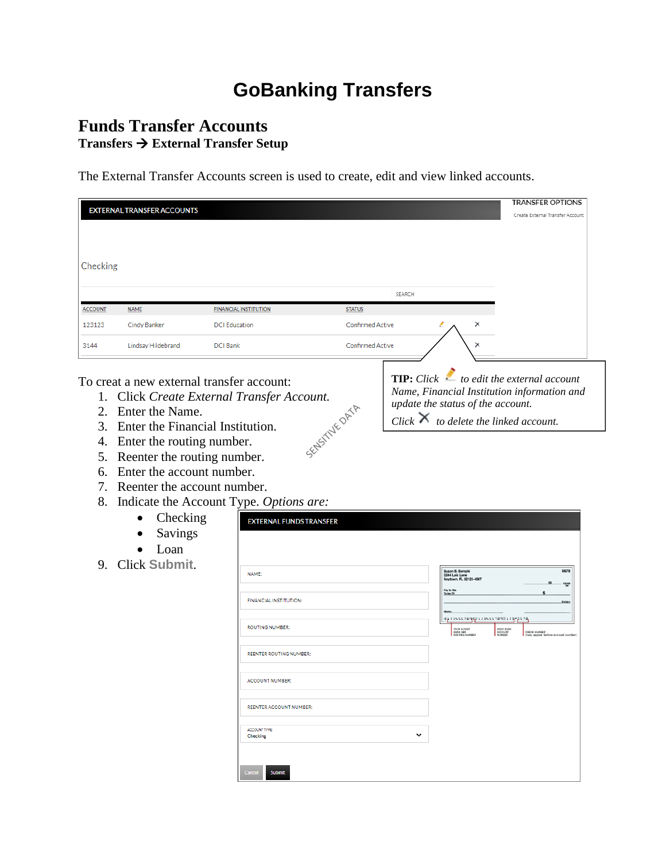# **GoBanking Transfers**

# **Funds Transfer Accounts Transfers** → **External Transfer Setup**

The External Transfer Accounts screen is used to create, edit and view linked accounts.

| <b>EXTERNAL TRANSFER ACCOUNTS</b>                                                        | Create External Transfer Account |
|------------------------------------------------------------------------------------------|----------------------------------|
|                                                                                          |                                  |
|                                                                                          |                                  |
|                                                                                          |                                  |
| Checking                                                                                 |                                  |
|                                                                                          |                                  |
| SEARCH                                                                                   |                                  |
|                                                                                          |                                  |
| <b>ACCOUNT</b><br><b>NAME</b><br><b>FINANCIAL INSTITUTION</b><br><b>STATUS</b>           |                                  |
| Cindy Banker<br><b>Confirmed Active</b><br>×<br>123123<br><b>DCI</b> Education           |                                  |
| Confirmed Active<br>Lindsay Hildebrand<br>$\times$<br>3144<br><b>DCI Bank</b>            |                                  |
|                                                                                          |                                  |
| <b>TIP:</b> Click $\leq$ to edit the external account                                    |                                  |
| To creat a new external transfer account:<br>Name, Financial Institution information and |                                  |
| 1. Click Create External Transfer Account.<br>update the status of the account.          |                                  |
| 2. Enter the Name.<br>Click $\times$                                                     |                                  |
| SEASTIVE ORTA<br>to delete the linked account.<br>3.<br>Enter the Financial Institution. |                                  |
| 4. Enter the routing number.                                                             |                                  |
| Reenter the routing number.<br>5.                                                        |                                  |
| Enter the account number.<br>6.                                                          |                                  |
| 7. Reenter the account number.                                                           |                                  |
| 8.<br>Indicate the Account Type. Options are:                                            |                                  |
| Checking                                                                                 |                                  |
| <b>EXTERNAL FUNDS TRANSFER</b>                                                           |                                  |
| Savings                                                                                  |                                  |
| Loan                                                                                     |                                  |
| 9. Click Submit.<br>NAME:                                                                | 5678                             |
| Susan B. Sample<br>2244 Lois Lane<br>Anytown, FL 32123-4567                              | 백분                               |
| Pay to th<br>Order Of<br>FINANCIAL INSTITUTION:                                          |                                  |
|                                                                                          |                                  |
| 032345678900123456789012345678<br><b>ROUTING NUMBER:</b><br>YOUR 9-CHAT                  |                                  |
| <b>YOUR RANK</b><br>ACCOUNT                                                              | CHECK NUMBER                     |
| REENTER ROUTING NUMBER:                                                                  |                                  |
|                                                                                          |                                  |
| <b>ACCOUNT NUMBER:</b>                                                                   |                                  |
|                                                                                          |                                  |
| <b>REENTER ACCOUNT NUMBER:</b>                                                           |                                  |
|                                                                                          |                                  |
| ACCOUNT TYPE:<br>$\check{ }$<br><b>Checking</b>                                          |                                  |
|                                                                                          |                                  |
|                                                                                          |                                  |
| Cancel<br>Submit                                                                         |                                  |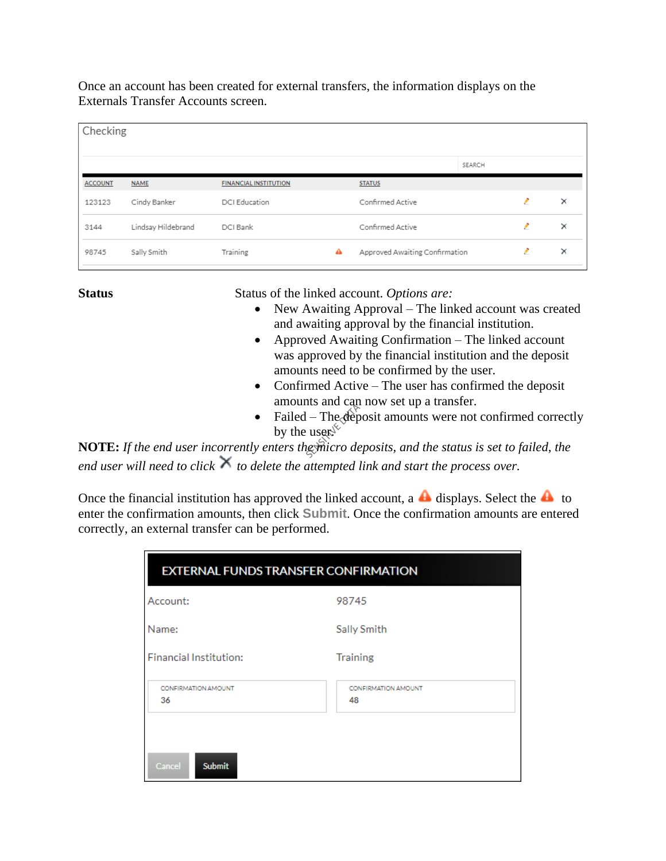Once an account has been created for external transfers, the information displays on the Externals Transfer Accounts screen.

|                | Checking           |                              |   |                                |        |   |          |  |  |
|----------------|--------------------|------------------------------|---|--------------------------------|--------|---|----------|--|--|
|                |                    |                              |   |                                | SEARCH |   |          |  |  |
| <b>ACCOUNT</b> | <b>NAME</b>        | <b>FINANCIAL INSTITUTION</b> |   | <b>STATUS</b>                  |        |   |          |  |  |
| 123123         | Cindy Banker       | DCI Education                |   | Confirmed Active               |        | , | ×        |  |  |
| 3144           | Lindsay Hildebrand | DCI Bank                     |   | Confirmed Active               |        | z | $\times$ |  |  |
| 98745          | Sally Smith        | Training                     | ▵ | Approved Awaiting Confirmation |        | , | $\times$ |  |  |
|                |                    |                              |   |                                |        |   |          |  |  |

Status Status of the linked account. *Options are:* 

- New Awaiting Approval The linked account was created and awaiting approval by the financial institution.
- Approved Awaiting Confirmation The linked account was approved by the financial institution and the deposit amounts need to be confirmed by the user.
- Confirmed Active The user has confirmed the deposit amounts and can now set up a transfer.
- Failed The deposit amounts were not confirmed correctly by the user. $\sqrt{\ }$

**NOTE:** *If the end user incorrently enters the micro deposits, and the status is set to failed, the end user will need to click to delete the attempted link and start the process over.*

Once the financial institution has approved the linked account, a **d** displays. Select the **d** to enter the confirmation amounts, then click **Submit**. Once the confirmation amounts are entered correctly, an external transfer can be performed.

| <b>EXTERNAL FUNDS TRANSFER CONFIRMATION</b> |                                  |  |  |  |  |  |
|---------------------------------------------|----------------------------------|--|--|--|--|--|
| Account:                                    | 98745                            |  |  |  |  |  |
| Name:                                       | Sally Smith                      |  |  |  |  |  |
| <b>Financial Institution:</b>               | <b>Training</b>                  |  |  |  |  |  |
| CONFIRMATION AMOUNT<br>36                   | <b>CONFIRMATION AMOUNT</b><br>48 |  |  |  |  |  |
| Cancel<br><b>Submit</b>                     |                                  |  |  |  |  |  |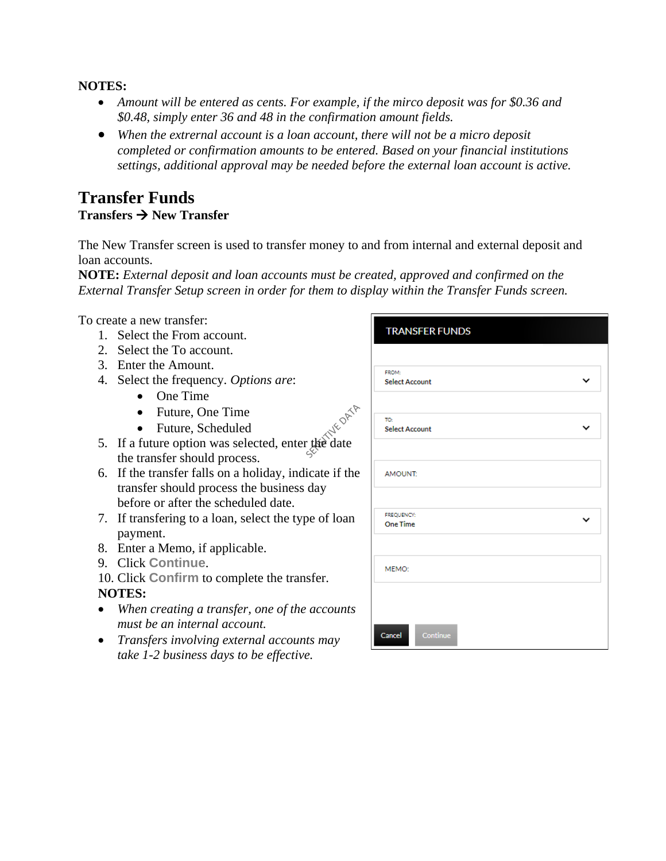#### **NOTES:**

- *Amount will be entered as cents. For example, if the mirco deposit was for \$0.36 and \$0.48, simply enter 36 and 48 in the confirmation amount fields.*
- *When the extrernal account is a loan account, there will not be a micro deposit completed or confirmation amounts to be entered. Based on your financial institutions settings, additional approval may be needed before the external loan account is active.*

### **Transfer Funds Transfers** → **New Transfer**

The New Transfer screen is used to transfer money to and from internal and external deposit and loan accounts.

**NOTE:** *External deposit and loan accounts must be created, approved and confirmed on the External Transfer Setup screen in order for them to display within the Transfer Funds screen.*

To create a new transfer:

- 1. Select the From account.
- 2. Select the To account.
- 3. Enter the Amount.
- 4. Select the frequency. *Options are*:
	- One Time
	- Future, One Time
	- Future, Scheduled
- 5. If a future option was selected, enter the date the transfer should process.
- 6. If the transfer falls on a holiday, indicate if the transfer should process the business day before or after the scheduled date.
- 7. If transfering to a loan, select the type of loan payment.
- 8. Enter a Memo, if applicable.
- 9. Click **Continue**.
- 10. Click **Confirm** to complete the transfer.

#### **NOTES:**

- *When creating a transfer, one of the accounts must be an internal account.*
- *Transfers involving external accounts may take 1-2 business days to be effective.*

| FROM:<br><b>Select Account</b> |             |
|--------------------------------|-------------|
| TO:                            |             |
| <b>Select Account</b>          | $\check{ }$ |
| AMOUNT:                        |             |
| FREQUENCY:                     |             |
| <b>One Time</b>                |             |
| MEMO:                          |             |
|                                |             |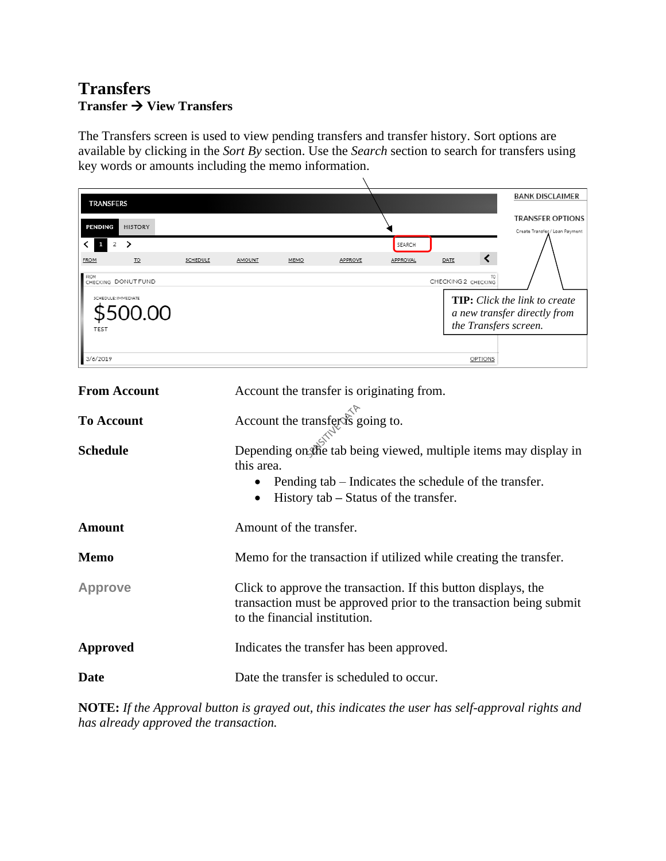# **Transfers Transfer** → **View Transfers**

The Transfers screen is used to view pending transfers and transfer history. Sort options are available by clicking in the *Sort By* section. Use the *Search* section to search for transfers using key words or amounts including the memo information.

| <b>TRANSFERS</b>                 |          |                                           |      |                                       |          |                                                                | <b>BANK DISCLAIMER</b>                                             |
|----------------------------------|----------|-------------------------------------------|------|---------------------------------------|----------|----------------------------------------------------------------|--------------------------------------------------------------------|
| <b>PENDING</b><br><b>HISTORY</b> |          |                                           |      |                                       |          |                                                                | <b>TRANSFER OPTIONS</b><br>Create Transfer / Loan Payment          |
| ゝ<br>2                           |          |                                           |      |                                       | SEARCH   |                                                                |                                                                    |
| <b>FROM</b><br>T <sub>O</sub>    | SCHEDULE | AMOUNT                                    | MEMO | APPROVE                               | APPROVAL | DATE                                                           |                                                                    |
| FROM<br>CHECKING DONUT FUND      |          |                                           |      |                                       |          | CHECKING 2 CHECKING                                            |                                                                    |
| SCHEDULE: IMMEDIATE              |          |                                           |      |                                       |          |                                                                | <b>TIP:</b> Click the link to create                               |
| $J(J_{\cdot}(\ )()$              |          |                                           |      |                                       |          |                                                                | a new transfer directly from                                       |
|                                  |          |                                           |      |                                       |          |                                                                | the Transfers screen.                                              |
| 3/6/2019                         |          |                                           |      |                                       |          | OPTIONS                                                        |                                                                    |
|                                  |          |                                           |      |                                       |          |                                                                |                                                                    |
| <b>From Account</b>              |          | Account the transfer is originating from. |      |                                       |          |                                                                |                                                                    |
| <b>To Account</b>                |          | Account the transfer is going to.         |      |                                       |          |                                                                |                                                                    |
|                                  |          |                                           |      |                                       |          |                                                                |                                                                    |
| <b>Schedule</b>                  |          |                                           |      |                                       |          |                                                                | Depending on the tab being viewed, multiple items may display in   |
|                                  |          | this area.                                |      |                                       |          |                                                                |                                                                    |
|                                  |          |                                           |      |                                       |          | Pending tab – Indicates the schedule of the transfer.          |                                                                    |
|                                  |          |                                           |      | History tab – Status of the transfer. |          |                                                                |                                                                    |
| <b>Amount</b>                    |          | Amount of the transfer.                   |      |                                       |          |                                                                |                                                                    |
| <b>Memo</b>                      |          |                                           |      |                                       |          |                                                                | Memo for the transaction if utilized while creating the transfer.  |
| <b>Approve</b>                   |          |                                           |      |                                       |          | Click to approve the transaction. If this button displays, the |                                                                    |
|                                  |          |                                           |      |                                       |          |                                                                | transaction must be approved prior to the transaction being submit |
|                                  |          | to the financial institution.             |      |                                       |          |                                                                |                                                                    |
| <b>Approved</b>                  |          | Indicates the transfer has been approved. |      |                                       |          |                                                                |                                                                    |
| <b>Date</b>                      |          | Date the transfer is scheduled to occur.  |      |                                       |          |                                                                |                                                                    |

**NOTE:** *If the Approval button is grayed out, this indicates the user has self-approval rights and has already approved the transaction.*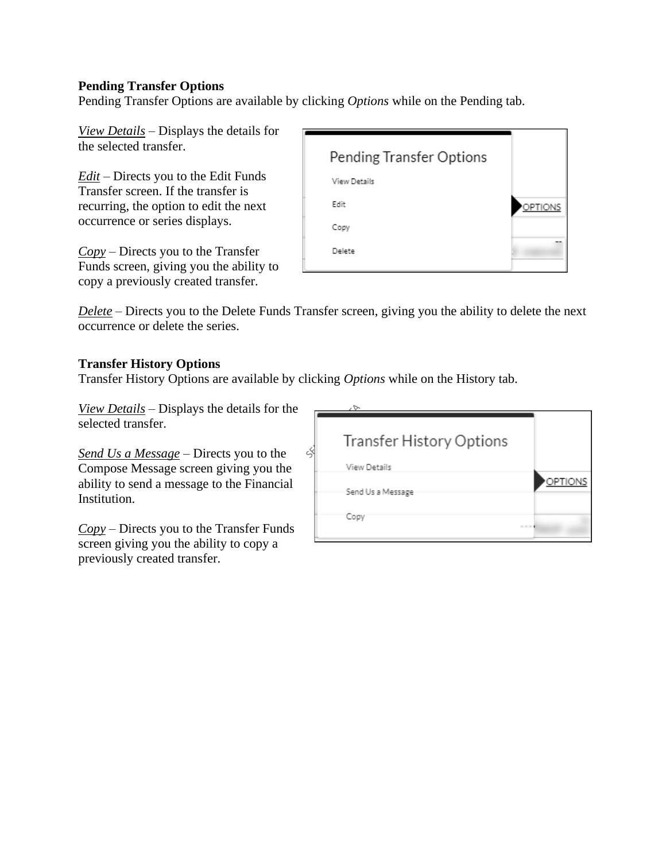#### **Pending Transfer Options**

Pending Transfer Options are available by clicking *Options* while on the Pending tab.

*View Details* – Displays the details for the selected transfer.

*Edit* – Directs you to the Edit Funds Transfer screen. If the transfer is recurring, the option to edit the next occurrence or series displays.

*Copy* – Directs you to the Transfer Funds screen, giving you the ability to copy a previously created transfer.



*Delete* – Directs you to the Delete Funds Transfer screen, giving you the ability to delete the next occurrence or delete the series.

#### **Transfer History Options**

Transfer History Options are available by clicking *Options* while on the History tab.

ζ

*View Details* – Displays the details for the selected transfer.

*Send Us a Message* – Directs you to the Compose Message screen giving you the ability to send a message to the Financial Institution.

*Copy* – Directs you to the Transfer Funds screen giving you the ability to copy a previously created transfer.

| Transfer History Options |         |
|--------------------------|---------|
| View Details             |         |
| Send Us a Message        | OPTIONS |
| Copy                     |         |
|                          |         |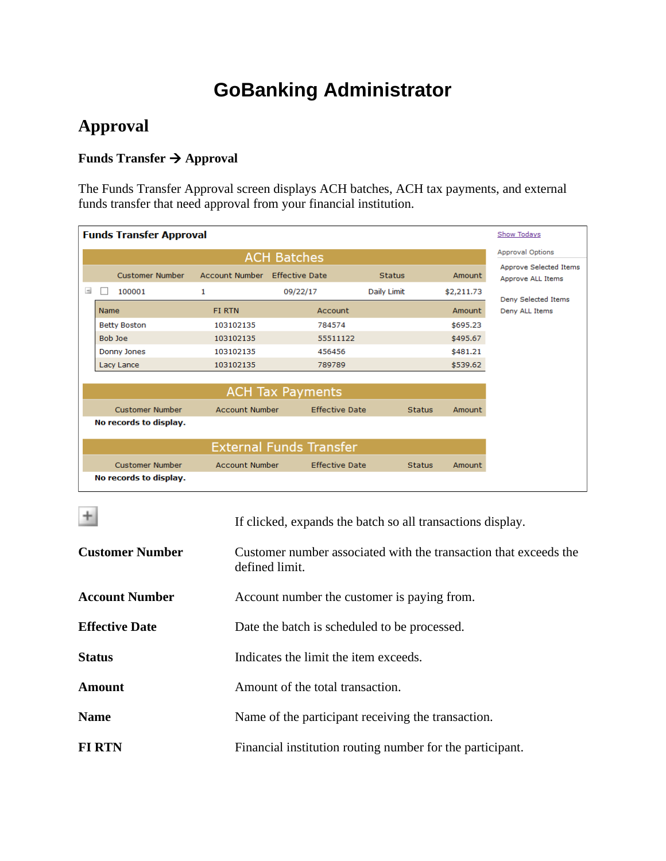# **GoBanking Administrator**

# **Approval**

# **Funds Transfer** → **Approval**

The Funds Transfer Approval screen displays ACH batches, ACH tax payments, and external funds transfer that need approval from your financial institution.

|                                | <b>Funds Transfer Approval</b> | Show Todays                      |                            |                                   |                              |                         |                                             |
|--------------------------------|--------------------------------|----------------------------------|----------------------------|-----------------------------------|------------------------------|-------------------------|---------------------------------------------|
|                                |                                |                                  |                            | <b>ACH Batches</b>                |                              |                         | <b>Approval Options</b>                     |
| $\equiv$                       |                                | <b>Customer Number</b><br>100001 | <b>Account Number</b><br>1 | <b>Effective Date</b><br>09/22/17 | <b>Status</b><br>Daily Limit | Amount<br>\$2,211.73    | Approve Selected Items<br>Approve ALL Items |
|                                | <b>Name</b>                    |                                  | <b>FIRTN</b>               | Account                           |                              | Amount                  | Deny Selected Items<br>Deny ALL Items       |
|                                |                                | <b>Betty Boston</b>              | 103102135                  | 784574                            |                              | \$695.23                |                                             |
|                                |                                | <b>Bob loe</b>                   | 103102135                  | 55511122                          |                              | \$495.67                |                                             |
|                                |                                | Donny Jones                      | 103102135                  | 456456                            |                              | \$481.21                |                                             |
|                                |                                | Lacy Lance                       | 103102135                  | 789789                            |                              | \$539.62                |                                             |
|                                |                                |                                  |                            |                                   |                              |                         |                                             |
|                                |                                |                                  |                            | <b>ACH Tax Payments</b>           |                              |                         |                                             |
|                                |                                | <b>Customer Number</b>           | <b>Account Number</b>      | <b>Effective Date</b>             |                              | <b>Status</b><br>Amount |                                             |
|                                |                                | No records to display.           |                            |                                   |                              |                         |                                             |
| <b>External Funds Transfer</b> |                                |                                  |                            |                                   |                              |                         |                                             |
|                                |                                | Customer Number                  | <b>Account Number</b>      | <b>Effective Date</b>             |                              | <b>Status</b><br>Amount |                                             |
|                                |                                | No records to display.           |                            |                                   |                              |                         |                                             |

| $+$                    | If clicked, expands the batch so all transactions display.                         |
|------------------------|------------------------------------------------------------------------------------|
| <b>Customer Number</b> | Customer number associated with the transaction that exceeds the<br>defined limit. |
| <b>Account Number</b>  | Account number the customer is paying from.                                        |
| <b>Effective Date</b>  | Date the batch is scheduled to be processed.                                       |
| <b>Status</b>          | Indicates the limit the item exceeds.                                              |
| <b>Amount</b>          | Amount of the total transaction.                                                   |
| <b>Name</b>            | Name of the participant receiving the transaction.                                 |
| <b>FIRTN</b>           | Financial institution routing number for the participant.                          |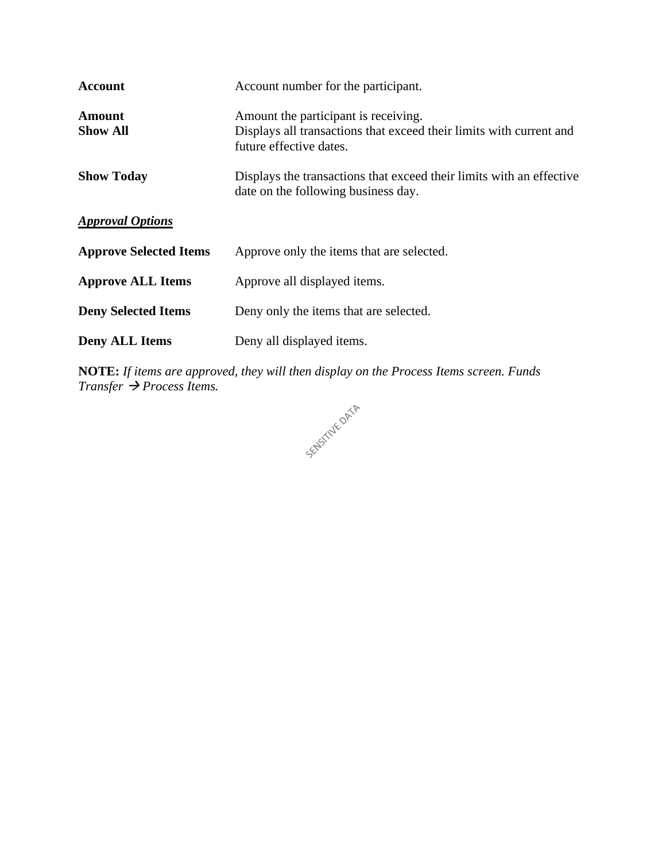| <b>Account</b>                   | Account number for the participant.                                                                                                    |
|----------------------------------|----------------------------------------------------------------------------------------------------------------------------------------|
| <b>Amount</b><br><b>Show All</b> | Amount the participant is receiving.<br>Displays all transactions that exceed their limits with current and<br>future effective dates. |
| <b>Show Today</b>                | Displays the transactions that exceed their limits with an effective<br>date on the following business day.                            |
| <b>Approval Options</b>          |                                                                                                                                        |
| <b>Approve Selected Items</b>    | Approve only the items that are selected.                                                                                              |
| <b>Approve ALL Items</b>         | Approve all displayed items.                                                                                                           |
| <b>Deny Selected Items</b>       | Deny only the items that are selected.                                                                                                 |
| <b>Deny ALL Items</b>            | Deny all displayed items.                                                                                                              |

**NOTE:** *If items are approved, they will then display on the Process Items screen. Funds Transfer* → *Process Items.*

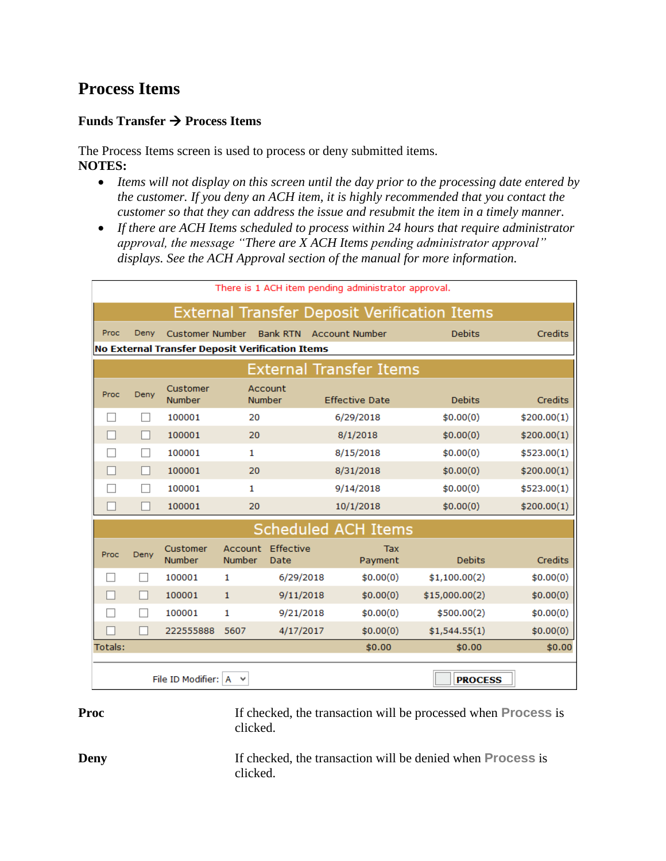# **Process Items**

#### **Funds Transfer** → **Process Items**

The Process Items screen is used to process or deny submitted items. **NOTES:**

- *Items will not display on this screen until the day prior to the processing date entered by the customer. If you deny an ACH item, it is highly recommended that you contact the customer so that they can address the issue and resubmit the item in a timely manner.*
- *If there are ACH Items scheduled to process within 24 hours that require administrator approval, the message "There are X ACH Items pending administrator approval" displays. See the ACH Approval section of the manual for more information.*

|                                                 | There is 1 ACH item pending administrator approval. |                           |               |                           |                                |                |             |  |  |
|-------------------------------------------------|-----------------------------------------------------|---------------------------|---------------|---------------------------|--------------------------------|----------------|-------------|--|--|
|                                                 | <b>External Transfer Deposit Verification Items</b> |                           |               |                           |                                |                |             |  |  |
| Proc                                            | Deny                                                | <b>Customer Number</b>    |               |                           | Bank RTN Account Number        | <b>Debits</b>  | Credits     |  |  |
| No External Transfer Deposit Verification Items |                                                     |                           |               |                           |                                |                |             |  |  |
|                                                 |                                                     |                           |               |                           | <b>External Transfer Items</b> |                |             |  |  |
| Proc                                            | Deny                                                | Customer<br><b>Number</b> |               | Account<br><b>Number</b>  | <b>Effective Date</b>          | <b>Debits</b>  | Credits     |  |  |
|                                                 |                                                     | 100001                    | 20            |                           | 6/29/2018                      | \$0.00(0)      | \$200.00(1) |  |  |
| $\overline{\phantom{a}}$                        |                                                     | 100001                    | 20            |                           | 8/1/2018                       | \$0.00(0)      | \$200.00(1) |  |  |
|                                                 | $\Box$                                              | 100001                    | 1             |                           | 8/15/2018                      | \$0.00(0)      | \$523.00(1) |  |  |
|                                                 |                                                     | 100001                    | 20            |                           | 8/31/2018                      |                | \$200.00(1) |  |  |
|                                                 |                                                     | 100001                    | 1             |                           | 9/14/2018                      |                | \$523.00(1) |  |  |
|                                                 |                                                     | 100001                    | 20            |                           | 10/1/2018                      | \$0.00(0)      | \$200.00(1) |  |  |
|                                                 |                                                     |                           |               |                           | <b>Scheduled ACH Items</b>     |                |             |  |  |
| Proc                                            | Deny                                                | Customer<br><b>Number</b> | <b>Number</b> | Account Effective<br>Date | Tax<br>Payment                 | <b>Debits</b>  | Credits     |  |  |
| $\overline{\phantom{0}}$                        |                                                     | 100001                    | 1             | 6/29/2018                 | \$0.00(0)                      | \$1,100.00(2)  | \$0.00(0)   |  |  |
| $\overline{\phantom{a}}$                        |                                                     | 100001                    | $\mathbf{1}$  | 9/11/2018                 | \$0.00(0)                      | \$15,000.00(2) | \$0.00(0)   |  |  |
|                                                 |                                                     | 100001                    | 1             | 9/21/2018                 | \$0.00(0)                      | \$500.00(2)    | \$0.00(0)   |  |  |
|                                                 |                                                     | 222555888                 | 5607          | 4/17/2017                 | \$0.00(0)                      | \$1,544.55(1)  | \$0.00(0)   |  |  |
| Totals:                                         |                                                     |                           |               |                           | \$0.00                         | \$0.00         | \$0.00      |  |  |
|                                                 | File ID Modifier: A<br><b>PROCESS</b>               |                           |               |                           |                                |                |             |  |  |

**Proc** If checked, the transaction will be processed when **Process** is clicked.

**Deny** If checked, the transaction will be denied when **Process** is clicked.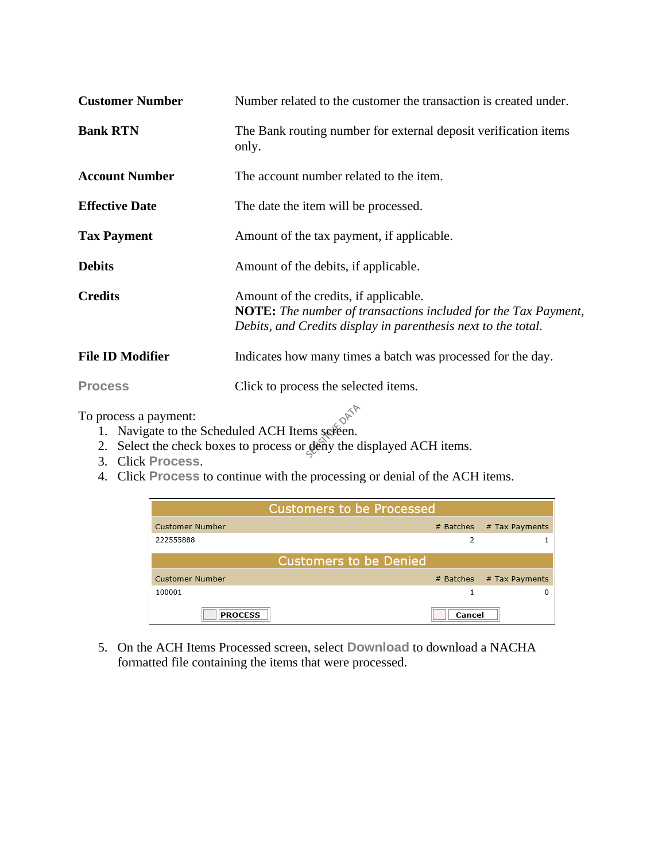| <b>Customer Number</b>  | Number related to the customer the transaction is created under.                                                                                                                |
|-------------------------|---------------------------------------------------------------------------------------------------------------------------------------------------------------------------------|
| <b>Bank RTN</b>         | The Bank routing number for external deposit verification items<br>only.                                                                                                        |
| <b>Account Number</b>   | The account number related to the item.                                                                                                                                         |
| <b>Effective Date</b>   | The date the item will be processed.                                                                                                                                            |
| <b>Tax Payment</b>      | Amount of the tax payment, if applicable.                                                                                                                                       |
| <b>Debits</b>           | Amount of the debits, if applicable.                                                                                                                                            |
| <b>Credits</b>          | Amount of the credits, if applicable.<br><b>NOTE:</b> The number of transactions included for the Tax Payment,<br>Debits, and Credits display in parenthesis next to the total. |
| <b>File ID Modifier</b> | Indicates how many times a batch was processed for the day.                                                                                                                     |
| <b>Process</b>          | Click to process the selected items.                                                                                                                                            |

To process a payment:

- process a payment:<br>1. Navigate to the Scheduled ACH Items sereen.
- 2. Select the check boxes to process or deny the displayed ACH items.
- 3. Click **Process**.
- 4. Click **Process** to continue with the processing or denial of the ACH items.

| <b>Customers to be Processed</b> |           |                |  |  |  |  |
|----------------------------------|-----------|----------------|--|--|--|--|
| <b>Customer Number</b>           | # Batches | # Tax Payments |  |  |  |  |
| 222555888                        | 2         |                |  |  |  |  |
| <b>Customers to be Denied</b>    |           |                |  |  |  |  |
| <b>Customer Number</b>           | # Batches | # Tax Payments |  |  |  |  |
| 100001                           |           |                |  |  |  |  |
| <b>PROCESS</b>                   | Cancel    |                |  |  |  |  |

5. On the ACH Items Processed screen, select **Download** to download a NACHA formatted file containing the items that were processed.